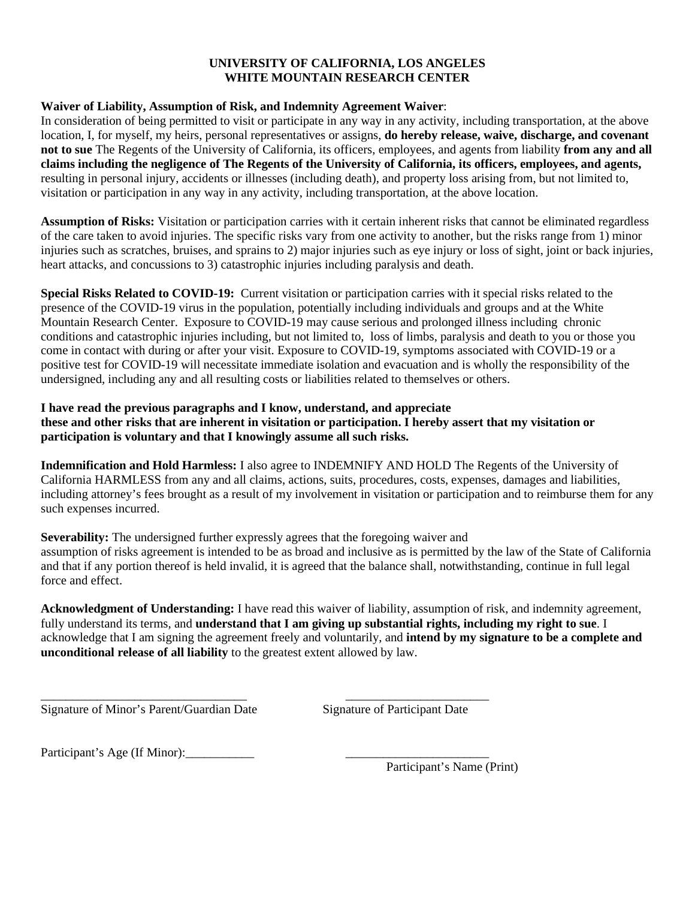#### **UNIVERSITY OF CALIFORNIA, LOS ANGELES WHITE MOUNTAIN RESEARCH CENTER**

#### **Waiver of Liability, Assumption of Risk, and Indemnity Agreement Waiver**:

In consideration of being permitted to visit or participate in any way in any activity, including transportation, at the above location, I, for myself, my heirs, personal representatives or assigns, **do hereby release, waive, discharge, and covenant not to sue** The Regents of the University of California, its officers, employees, and agents from liability **from any and all claims including the negligence of The Regents of the University of California, its officers, employees, and agents,**  resulting in personal injury, accidents or illnesses (including death), and property loss arising from, but not limited to, visitation or participation in any way in any activity, including transportation, at the above location.

**Assumption of Risks:** Visitation or participation carries with it certain inherent risks that cannot be eliminated regardless of the care taken to avoid injuries. The specific risks vary from one activity to another, but the risks range from 1) minor injuries such as scratches, bruises, and sprains to 2) major injuries such as eye injury or loss of sight, joint or back injuries, heart attacks, and concussions to 3) catastrophic injuries including paralysis and death.

**Special Risks Related to COVID-19:** Current visitation or participation carries with it special risks related to the presence of the COVID-19 virus in the population, potentially including individuals and groups and at the White Mountain Research Center. Exposure to COVID-19 may cause serious and prolonged illness including chronic conditions and catastrophic injuries including, but not limited to, loss of limbs, paralysis and death to you or those you come in contact with during or after your visit. Exposure to COVID-19, symptoms associated with COVID-19 or a positive test for COVID-19 will necessitate immediate isolation and evacuation and is wholly the responsibility of the undersigned, including any and all resulting costs or liabilities related to themselves or others.

## **I have read the previous paragraphs and I know, understand, and appreciate these and other risks that are inherent in visitation or participation. I hereby assert that my visitation or participation is voluntary and that I knowingly assume all such risks.**

**Indemnification and Hold Harmless:** I also agree to INDEMNIFY AND HOLD The Regents of the University of California HARMLESS from any and all claims, actions, suits, procedures, costs, expenses, damages and liabilities, including attorney's fees brought as a result of my involvement in visitation or participation and to reimburse them for any such expenses incurred.

**Severability:** The undersigned further expressly agrees that the foregoing waiver and assumption of risks agreement is intended to be as broad and inclusive as is permitted by the law of the State of California and that if any portion thereof is held invalid, it is agreed that the balance shall, notwithstanding, continue in full legal force and effect.

**Acknowledgment of Understanding:** I have read this waiver of liability, assumption of risk, and indemnity agreement, fully understand its terms, and **understand that I am giving up substantial rights, including my right to sue**. I acknowledge that I am signing the agreement freely and voluntarily, and **intend by my signature to be a complete and unconditional release of all liability** to the greatest extent allowed by law.

\_\_\_\_\_\_\_\_\_\_\_\_\_\_\_\_\_\_\_\_\_\_\_\_\_\_\_\_\_\_\_\_\_ \_\_\_\_\_\_\_\_\_\_\_\_\_\_\_\_\_\_\_\_\_\_\_ Signature of Minor's Parent/Guardian Date Signature of Participant Date

Participant's Age (If Minor):\_\_\_\_\_\_\_\_\_\_\_ \_\_\_\_\_\_\_\_\_\_\_\_\_\_\_\_\_\_\_\_\_\_\_

Participant's Name (Print)